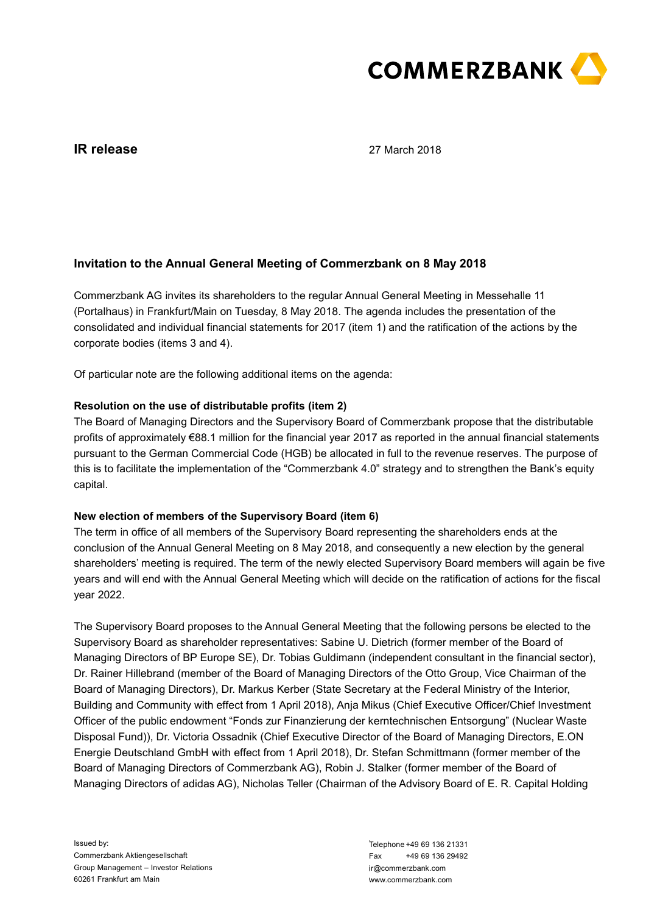

# **IR release**

27 March 2018

# **Invitation to the Annual General Meeting of Commerzbank on 8 May 2018**

Commerzbank AG invites its shareholders to the regular Annual General Meeting in Messehalle 11 (Portalhaus) in Frankfurt/Main on Tuesday, 8 May 2018. The agenda includes the presentation of the consolidated and individual financial statements for 2017 (item 1) and the ratification of the actions by the corporate bodies (items 3 and 4).

Of particular note are the following additional items on the agenda:

## **Resolution on the use of distributable profits (item 2)**

The Board of Managing Directors and the Supervisory Board of Commerzbank propose that the distributable profits of approximately €88.1 million for the financial year 2017 as reported in the annual financial statements pursuant to the German Commercial Code (HGB) be allocated in full to the revenue reserves. The purpose of this is to facilitate the implementation of the "Commerzbank 4.0" strategy and to strengthen the Bank's equity capital.

### **New election of members of the Supervisory Board (item 6)**

The term in office of all members of the Supervisory Board representing the shareholders ends at the conclusion of the Annual General Meeting on 8 May 2018, and consequently a new election by the general shareholders' meeting is required. The term of the newly elected Supervisory Board members will again be five years and will end with the Annual General Meeting which will decide on the ratification of actions for the fiscal year 2022.

The Supervisory Board proposes to the Annual General Meeting that the following persons be elected to the Supervisory Board as shareholder representatives: Sabine U. Dietrich (former member of the Board of Managing Directors of BP Europe SE), Dr. Tobias Guldimann (independent consultant in the financial sector), Dr. Rainer Hillebrand (member of the Board of Managing Directors of the Otto Group, Vice Chairman of the Board of Managing Directors), Dr. Markus Kerber (State Secretary at the Federal Ministry of the Interior, Building and Community with effect from 1 April 2018), Anja Mikus (Chief Executive Officer/Chief Investment Officer of the public endowment "Fonds zur Finanzierung der kerntechnischen Entsorgung" (Nuclear Waste Disposal Fund)), Dr. Victoria Ossadnik (Chief Executive Director of the Board of Managing Directors, E.ON Energie Deutschland GmbH with effect from 1 April 2018), Dr. Stefan Schmittmann (former member of the Board of Managing Directors of Commerzbank AG), Robin J. Stalker (former member of the Board of Managing Directors of adidas AG), Nicholas Teller (Chairman of the Advisory Board of E. R. Capital Holding

Telephone +49 69 136 21331 Fax +49 69 136 29492 ir@commerzbank.com www.commerzbank.com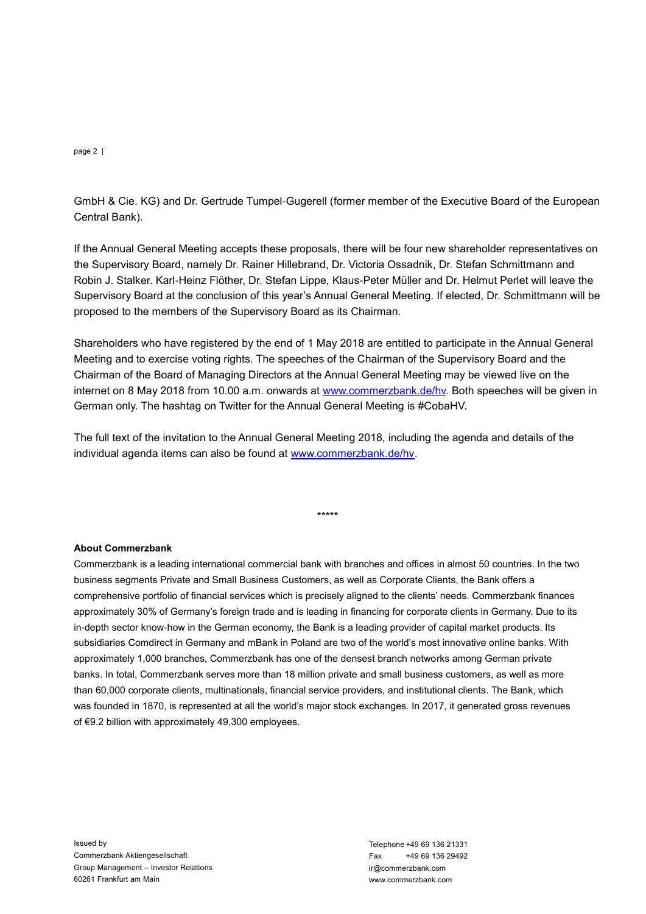#### page 2 |

Central Bank).

If the Annual General Meeting accepts these proposals, there will be four new shareholder representatives on the Supervisory Board, namely Dr. Rainer Hillebrand, Dr. Victoria Ossadnik, Dr. Stefan Schmittmann and Robin J. Stalker. Karl-Heinz Flöther, Dr. Stefan Lippe, Klaus-Peter Müller and Dr. Helmut Perlet will leave the Supervisory Board at the conclusion of this year's Annual General Meeting. If elected, Dr. Schmittmann will be proposed to the members of the Supervisory Board as its Chairman.

Shareholders who have registered by the end of 1 May 2018 are entitled to participate in the Annual General Meeting and to exercise voting rights. The speeches of the Chairman of the Supervisory Board and the Chairman of the Board of Managing Directors at the Annual General Meeting may be viewed live on the internet on 8 May 2018 from 10.00 a.m. onwards at [www.commerzbank.de/hv.](https://www.commerzbank.de/en/hauptnavigation/aktionaere/hauptversammlung_1/hauptversammlung_2018.html) Both speeches will be given in German only. The hashtag on Twitter for the Annual General Meeting is #CobaHV.

The full text of the invitation to the Annual General Meeting 2018, including the agenda and details of the individual agenda items can also be found at [www.commerzbank.de/hv.](https://www.commerzbank.de/en/hauptnavigation/aktionaere/hauptversammlung_1/hauptversammlung_2018.html)

\*\*\*\*\*

### **About Commerzbank**

GmbH & Cie. KG) and Dr. Getrtude Tumpel-Gugerell (former member of the Executive Board of the European<br>
If the Annual General Meeting accepts threes proposals, there will be four new shareholder representatives on<br>
the Sup Commerzbank is a leading international commercial bank with branches and offices in almost 50 countries. In the two business segments Private and Small Business Customers, as well as Corporate Clients, the Bank offers a comprehensive portfolio of financial services which is precisely aligned to the clients' needs. Commerzbank finances approximately 30% of Germany's foreign trade and is leading in financing for corporate clients in Germany. Due to its in-depth sector know-how in the German economy, the Bank is a leading provider of capital market products. Its subsidiaries Comdirect in Germany and mBank in Poland are two of the world's most innovative online banks. With approximately 1,000 branches, Commerzbank has one of the densest branch networks among German private banks. In total, Commerzbank serves more than 18 million private and small business customers, as well as more than 60,000 corporate clients, multinationals, financial service providers, and institutional clients. The Bank, which was founded in 1870, is represented at all the world's major stock exchanges. In 2017, it generated gross revenues of €9.2 billion with approximately 49,300 employees.

Issued by Commerzbank Aktiengesellschaft Group Management – Investor Relations 60261 Frankfurt am Main

Telephone +49 69 136 21331<br>Fax +49 69 136 29492  $Fax +496913629492$ ir@commerzbank.com www.commerzbank.com